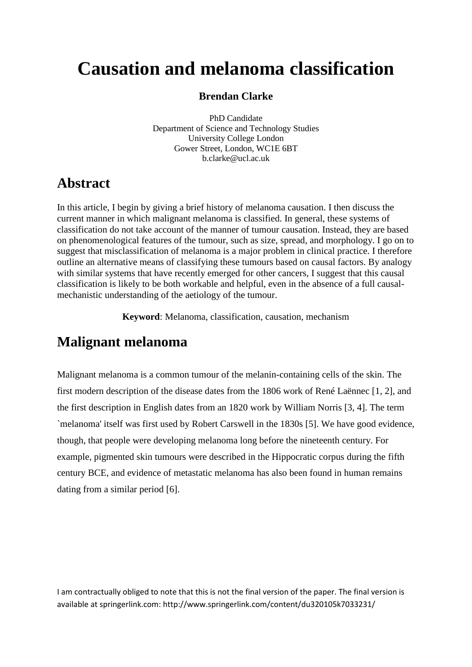# **Causation and melanoma classification**

#### **Brendan Clarke**

PhD Candidate Department of Science and Technology Studies University College London Gower Street, London, WC1E 6BT b.clarke@ucl.ac.uk

### **Abstract**

In this article, I begin by giving a brief history of melanoma causation. I then discuss the current manner in which malignant melanoma is classified. In general, these systems of classification do not take account of the manner of tumour causation. Instead, they are based on phenomenological features of the tumour, such as size, spread, and morphology. I go on to suggest that misclassification of melanoma is a major problem in clinical practice. I therefore outline an alternative means of classifying these tumours based on causal factors. By analogy with similar systems that have recently emerged for other cancers, I suggest that this causal classification is likely to be both workable and helpful, even in the absence of a full causalmechanistic understanding of the aetiology of the tumour.

**Keyword**: Melanoma, classification, causation, mechanism

### **Malignant melanoma**

Malignant melanoma is a common tumour of the melanin-containing cells of the skin. The first modern description of the disease dates from the 1806 work of René Laënnec [1, 2], and the first description in English dates from an 1820 work by William Norris [3, 4]. The term `melanoma' itself was first used by Robert Carswell in the 1830s [5]. We have good evidence, though, that people were developing melanoma long before the nineteenth century. For example, pigmented skin tumours were described in the Hippocratic corpus during the fifth century BCE, and evidence of metastatic melanoma has also been found in human remains dating from a similar period [6].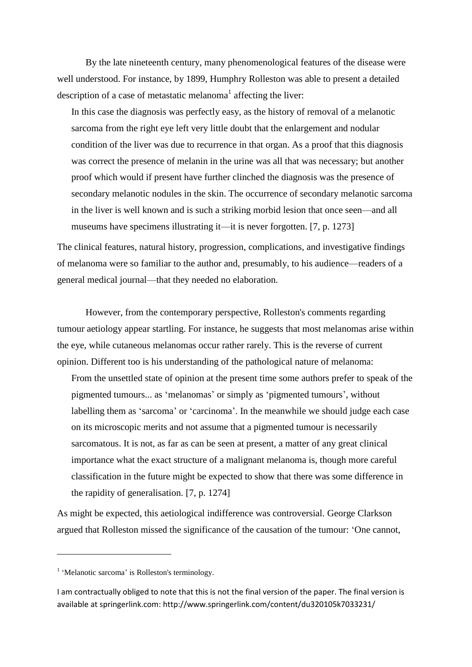By the late nineteenth century, many phenomenological features of the disease were well understood. For instance, by 1899, Humphry Rolleston was able to present a detailed description of a case of metastatic melanoma<sup>1</sup> affecting the liver:

In this case the diagnosis was perfectly easy, as the history of removal of a melanotic sarcoma from the right eye left very little doubt that the enlargement and nodular condition of the liver was due to recurrence in that organ. As a proof that this diagnosis was correct the presence of melanin in the urine was all that was necessary; but another proof which would if present have further clinched the diagnosis was the presence of secondary melanotic nodules in the skin. The occurrence of secondary melanotic sarcoma in the liver is well known and is such a striking morbid lesion that once seen—and all museums have specimens illustrating it—it is never forgotten. [7, p. 1273]

The clinical features, natural history, progression, complications, and investigative findings of melanoma were so familiar to the author and, presumably, to his audience—readers of a general medical journal—that they needed no elaboration.

However, from the contemporary perspective, Rolleston's comments regarding tumour aetiology appear startling. For instance, he suggests that most melanomas arise within the eye, while cutaneous melanomas occur rather rarely. This is the reverse of current opinion. Different too is his understanding of the pathological nature of melanoma:

From the unsettled state of opinion at the present time some authors prefer to speak of the pigmented tumours... as 'melanomas' or simply as 'pigmented tumours', without labelling them as 'sarcoma' or 'carcinoma'. In the meanwhile we should judge each case on its microscopic merits and not assume that a pigmented tumour is necessarily sarcomatous. It is not, as far as can be seen at present, a matter of any great clinical importance what the exact structure of a malignant melanoma is, though more careful classification in the future might be expected to show that there was some difference in the rapidity of generalisation. [7, p. 1274]

As might be expected, this aetiological indifference was controversial. George Clarkson argued that Rolleston missed the significance of the causation of the tumour: 'One cannot,

<sup>&</sup>lt;sup>1</sup> 'Melanotic sarcoma' is Rolleston's terminology.

I am contractually obliged to note that this is not the final version of the paper. The final version is available at springerlink.com: http://www.springerlink.com/content/du320105k7033231/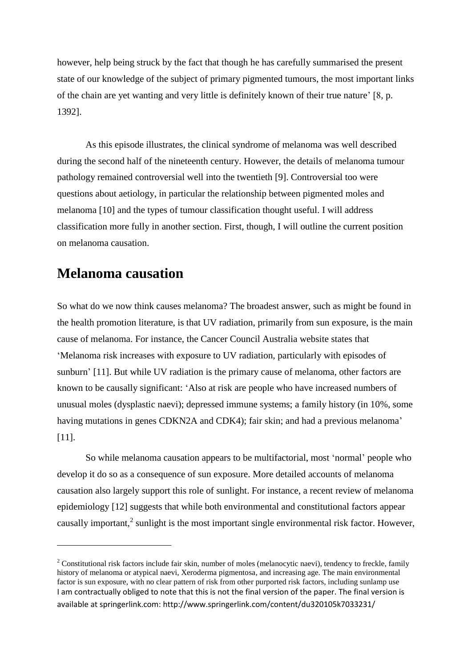however, help being struck by the fact that though he has carefully summarised the present state of our knowledge of the subject of primary pigmented tumours, the most important links of the chain are yet wanting and very little is definitely known of their true nature' [8, p. 1392].

As this episode illustrates, the clinical syndrome of melanoma was well described during the second half of the nineteenth century. However, the details of melanoma tumour pathology remained controversial well into the twentieth [9]. Controversial too were questions about aetiology, in particular the relationship between pigmented moles and melanoma [10] and the types of tumour classification thought useful. I will address classification more fully in another section. First, though, I will outline the current position on melanoma causation.

### **Melanoma causation**

 $\overline{a}$ 

So what do we now think causes melanoma? The broadest answer, such as might be found in the health promotion literature, is that UV radiation, primarily from sun exposure, is the main cause of melanoma. For instance, the Cancer Council Australia website states that 'Melanoma risk increases with exposure to UV radiation, particularly with episodes of sunburn' [11]. But while UV radiation is the primary cause of melanoma, other factors are known to be causally significant: 'Also at risk are people who have increased numbers of unusual moles (dysplastic naevi); depressed immune systems; a family history (in 10%, some having mutations in genes CDKN2A and CDK4); fair skin; and had a previous melanoma' [11].

So while melanoma causation appears to be multifactorial, most 'normal' people who develop it do so as a consequence of sun exposure. More detailed accounts of melanoma causation also largely support this role of sunlight. For instance, a recent review of melanoma epidemiology [12] suggests that while both environmental and constitutional factors appear causally important, $^2$  sunlight is the most important single environmental risk factor. However,

I am contractually obliged to note that this is not the final version of the paper. The final version is available at springerlink.com: http://www.springerlink.com/content/du320105k7033231/ <sup>2</sup> Constitutional risk factors include fair skin, number of moles (melanocytic naevi), tendency to freckle, family history of melanoma or atypical naevi, Xeroderma pigmentosa, and increasing age. The main environmental factor is sun exposure, with no clear pattern of risk from other purported risk factors, including sunlamp use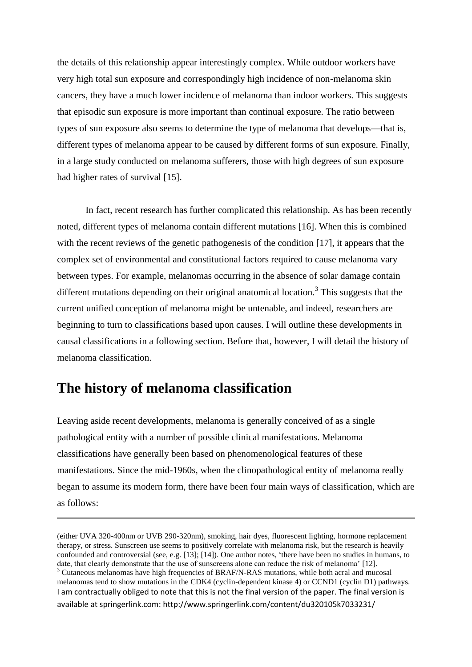the details of this relationship appear interestingly complex. While outdoor workers have very high total sun exposure and correspondingly high incidence of non-melanoma skin cancers, they have a much lower incidence of melanoma than indoor workers. This suggests that episodic sun exposure is more important than continual exposure. The ratio between types of sun exposure also seems to determine the type of melanoma that develops—that is, different types of melanoma appear to be caused by different forms of sun exposure. Finally, in a large study conducted on melanoma sufferers, those with high degrees of sun exposure had higher rates of survival [15].

In fact, recent research has further complicated this relationship. As has been recently noted, different types of melanoma contain different mutations [16]. When this is combined with the recent reviews of the genetic pathogenesis of the condition [17], it appears that the complex set of environmental and constitutional factors required to cause melanoma vary between types. For example, melanomas occurring in the absence of solar damage contain different mutations depending on their original anatomical location.<sup>3</sup> This suggests that the current unified conception of melanoma might be untenable, and indeed, researchers are beginning to turn to classifications based upon causes. I will outline these developments in causal classifications in a following section. Before that, however, I will detail the history of melanoma classification.

### **The history of melanoma classification**

1

Leaving aside recent developments, melanoma is generally conceived of as a single pathological entity with a number of possible clinical manifestations. Melanoma classifications have generally been based on phenomenological features of these manifestations. Since the mid-1960s, when the clinopathological entity of melanoma really began to assume its modern form, there have been four main ways of classification, which are as follows:

I am contractually obliged to note that this is not the final version of the paper. The final version is available at springerlink.com: http://www.springerlink.com/content/du320105k7033231/ (either UVA 320-400nm or UVB 290-320nm), smoking, hair dyes, fluorescent lighting, hormone replacement therapy, or stress. Sunscreen use seems to positively correlate with melanoma risk, but the research is heavily confounded and controversial (see, e.g. [13]; [14]). One author notes, 'there have been no studies in humans, to date, that clearly demonstrate that the use of sunscreens alone can reduce the risk of melanoma' [12]. <sup>3</sup> Cutaneous melanomas have high frequencies of BRAF/N-RAS mutations, while both acral and mucosal melanomas tend to show mutations in the CDK4 (cyclin-dependent kinase 4) or CCND1 (cyclin D1) pathways.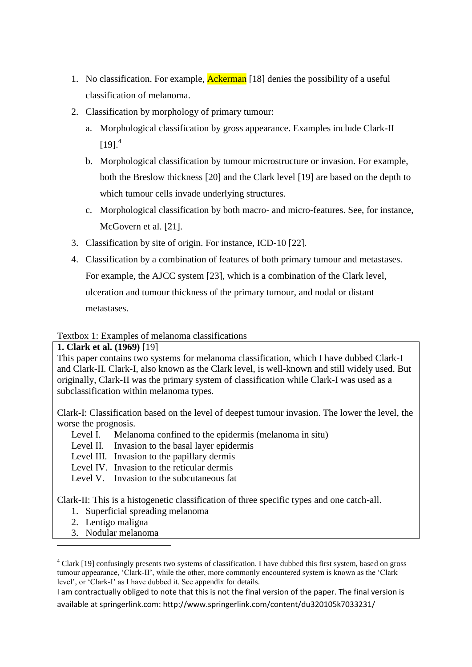- 1. No classification. For example, **Ackerman** [18] denies the possibility of a useful classification of melanoma.
- 2. Classification by morphology of primary tumour:
	- a. Morphological classification by gross appearance. Examples include Clark-II  $[19]<sup>4</sup>$
	- b. Morphological classification by tumour microstructure or invasion. For example, both the Breslow thickness [20] and the Clark level [19] are based on the depth to which tumour cells invade underlying structures.
	- c. Morphological classification by both macro- and micro-features. See, for instance, McGovern et al. [21].
- 3. Classification by site of origin. For instance, ICD-10 [22].
- 4. Classification by a combination of features of both primary tumour and metastases. For example, the AJCC system [23], which is a combination of the Clark level, ulceration and tumour thickness of the primary tumour, and nodal or distant metastases.

#### Textbox 1: Examples of melanoma classifications

#### **1. Clark et al. (1969)** [19]

This paper contains two systems for melanoma classification, which I have dubbed Clark-I and Clark-II. Clark-I, also known as the Clark level, is well-known and still widely used. But originally, Clark-II was the primary system of classification while Clark-I was used as a subclassification within melanoma types.

Clark-I: Classification based on the level of deepest tumour invasion. The lower the level, the worse the prognosis.

- Level I. Melanoma confined to the epidermis (melanoma in situ)
- Level II. Invasion to the basal layer epidermis
- Level III. Invasion to the papillary dermis

Level IV. Invasion to the reticular dermis

Level V. Invasion to the subcutaneous fat

Clark-II: This is a histogenetic classification of three specific types and one catch-all.

- 1. Superficial spreading melanoma
- 2. Lentigo maligna

 $\overline{a}$ 

3. Nodular melanoma

<sup>&</sup>lt;sup>4</sup> Clark [19] confusingly presents two systems of classification. I have dubbed this first system, based on gross tumour appearance, 'Clark-II', while the other, more commonly encountered system is known as the 'Clark level', or 'Clark-I' as I have dubbed it. See appendix for details.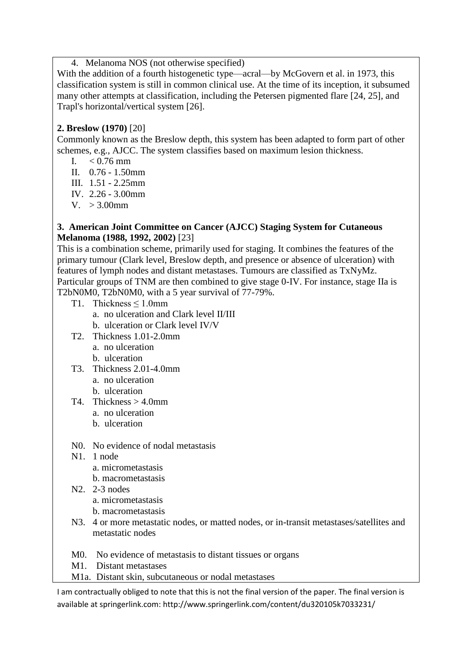#### 4. Melanoma NOS (not otherwise specified)

With the addition of a fourth histogenetic type—acral—by McGovern et al. in 1973, this classification system is still in common clinical use. At the time of its inception, it subsumed many other attempts at classification, including the Petersen pigmented flare [24, 25], and Trapl's horizontal/vertical system [26].

#### **2. Breslow (1970)** [20]

Commonly known as the Breslow depth, this system has been adapted to form part of other schemes, e.g., AJCC. The system classifies based on maximum lesion thickness.

- I.  $< 0.76$  mm
- II. 0.76 1.50mm
- III. 1.51 2.25mm
- IV. 2.26 3.00mm
- $V. > 3.00$ mm

#### **3. American Joint Committee on Cancer (AJCC) Staging System for Cutaneous Melanoma (1988, 1992, 2002)** [23]

This is a combination scheme, primarily used for staging. It combines the features of the primary tumour (Clark level, Breslow depth, and presence or absence of ulceration) with features of lymph nodes and distant metastases. Tumours are classified as TxNyMz. Particular groups of TNM are then combined to give stage 0-IV. For instance, stage IIa is T2bN0M0, T2bN0M0, with a 5 year survival of 77-79%.

- T1. Thickness < 1.0mm
	- a. no ulceration and Clark level II/III
	- b. ulceration or Clark level IV/V
- T2. Thickness 1.01-2.0mm
	- a. no ulceration
	- b. ulceration
- T3. Thickness 2.01-4.0mm a. no ulceration b. ulceration
- T4. Thickness  $> 4.0$ mm a. no ulceration b. ulceration
- N0. No evidence of nodal metastasis
- N<sub>1</sub> 1 node
	- a. micrometastasis
	- b. macrometastasis
- N2. 2-3 nodes
	- a. micrometastasis
	- b. macrometastasis
- N3. 4 or more metastatic nodes, or matted nodes, or in-transit metastases/satellites and metastatic nodes
- M0. No evidence of metastasis to distant tissues or organs
- M1. Distant metastases
- M1a. Distant skin, subcutaneous or nodal metastases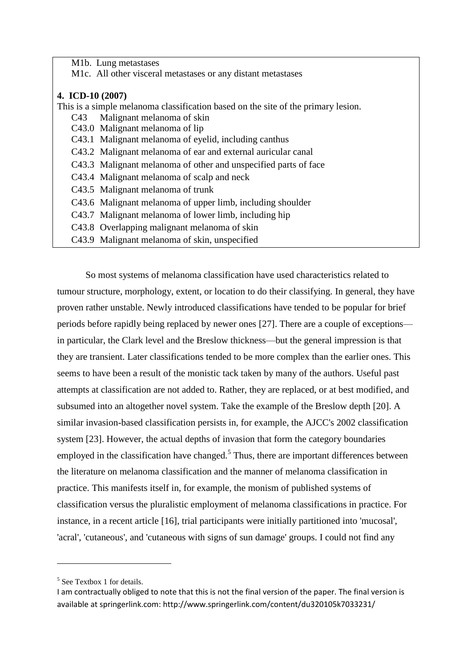M1b. Lung metastases M1c. All other visceral metastases or any distant metastases **4. ICD-10 (2007)** This is a simple melanoma classification based on the site of the primary lesion. C43 Malignant melanoma of skin C43.0 Malignant melanoma of lip C43.1 Malignant melanoma of eyelid, including canthus C43.2 Malignant melanoma of ear and external auricular canal C43.3 Malignant melanoma of other and unspecified parts of face C43.4 Malignant melanoma of scalp and neck C43.5 Malignant melanoma of trunk C43.6 Malignant melanoma of upper limb, including shoulder C43.7 Malignant melanoma of lower limb, including hip C43.8 Overlapping malignant melanoma of skin

C43.9 Malignant melanoma of skin, unspecified

So most systems of melanoma classification have used characteristics related to tumour structure, morphology, extent, or location to do their classifying. In general, they have proven rather unstable. Newly introduced classifications have tended to be popular for brief periods before rapidly being replaced by newer ones [27]. There are a couple of exceptions in particular, the Clark level and the Breslow thickness—but the general impression is that they are transient. Later classifications tended to be more complex than the earlier ones. This seems to have been a result of the monistic tack taken by many of the authors. Useful past attempts at classification are not added to. Rather, they are replaced, or at best modified, and subsumed into an altogether novel system. Take the example of the Breslow depth [20]. A similar invasion-based classification persists in, for example, the AJCC's 2002 classification system [23]. However, the actual depths of invasion that form the category boundaries employed in the classification have changed.<sup>5</sup> Thus, there are important differences between the literature on melanoma classification and the manner of melanoma classification in practice. This manifests itself in, for example, the monism of published systems of classification versus the pluralistic employment of melanoma classifications in practice. For instance, in a recent article [16], trial participants were initially partitioned into 'mucosal', 'acral', 'cutaneous', and 'cutaneous with signs of sun damage' groups. I could not find any

<sup>5</sup> See Textbox 1 for details.

I am contractually obliged to note that this is not the final version of the paper. The final version is available at springerlink.com: http://www.springerlink.com/content/du320105k7033231/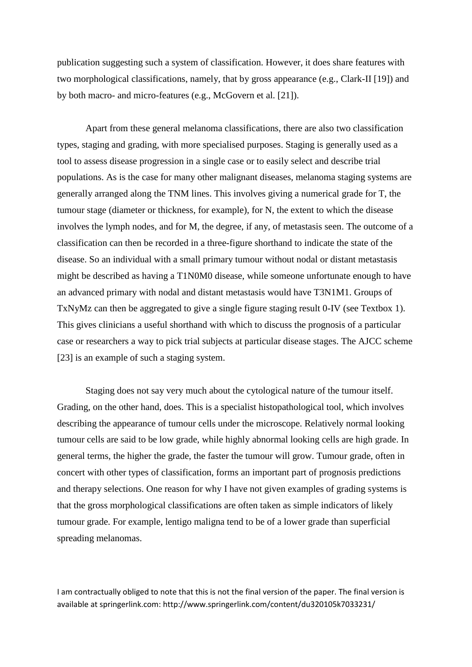publication suggesting such a system of classification. However, it does share features with two morphological classifications, namely, that by gross appearance (e.g., Clark-II [19]) and by both macro- and micro-features (e.g., McGovern et al. [21]).

Apart from these general melanoma classifications, there are also two classification types, staging and grading, with more specialised purposes. Staging is generally used as a tool to assess disease progression in a single case or to easily select and describe trial populations. As is the case for many other malignant diseases, melanoma staging systems are generally arranged along the TNM lines. This involves giving a numerical grade for T, the tumour stage (diameter or thickness, for example), for N, the extent to which the disease involves the lymph nodes, and for M, the degree, if any, of metastasis seen. The outcome of a classification can then be recorded in a three-figure shorthand to indicate the state of the disease. So an individual with a small primary tumour without nodal or distant metastasis might be described as having a T1N0M0 disease, while someone unfortunate enough to have an advanced primary with nodal and distant metastasis would have T3N1M1. Groups of TxNyMz can then be aggregated to give a single figure staging result 0-IV (see Textbox 1). This gives clinicians a useful shorthand with which to discuss the prognosis of a particular case or researchers a way to pick trial subjects at particular disease stages. The AJCC scheme [23] is an example of such a staging system.

Staging does not say very much about the cytological nature of the tumour itself. Grading, on the other hand, does. This is a specialist histopathological tool, which involves describing the appearance of tumour cells under the microscope. Relatively normal looking tumour cells are said to be low grade, while highly abnormal looking cells are high grade. In general terms, the higher the grade, the faster the tumour will grow. Tumour grade, often in concert with other types of classification, forms an important part of prognosis predictions and therapy selections. One reason for why I have not given examples of grading systems is that the gross morphological classifications are often taken as simple indicators of likely tumour grade. For example, lentigo maligna tend to be of a lower grade than superficial spreading melanomas.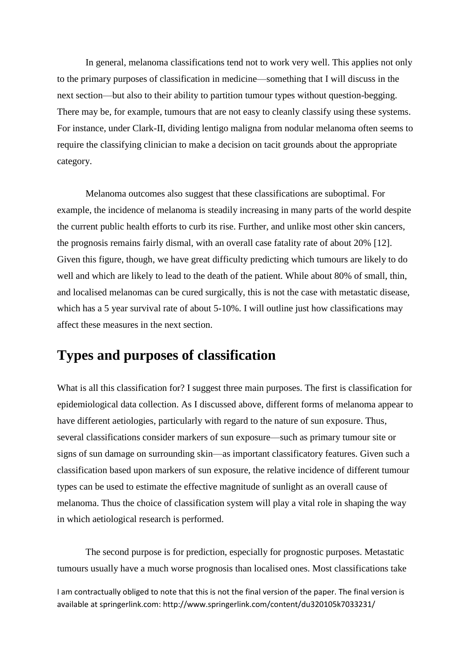In general, melanoma classifications tend not to work very well. This applies not only to the primary purposes of classification in medicine—something that I will discuss in the next section—but also to their ability to partition tumour types without question-begging. There may be, for example, tumours that are not easy to cleanly classify using these systems. For instance, under Clark-II, dividing lentigo maligna from nodular melanoma often seems to require the classifying clinician to make a decision on tacit grounds about the appropriate category.

Melanoma outcomes also suggest that these classifications are suboptimal. For example, the incidence of melanoma is steadily increasing in many parts of the world despite the current public health efforts to curb its rise. Further, and unlike most other skin cancers, the prognosis remains fairly dismal, with an overall case fatality rate of about 20% [12]. Given this figure, though, we have great difficulty predicting which tumours are likely to do well and which are likely to lead to the death of the patient. While about 80% of small, thin, and localised melanomas can be cured surgically, this is not the case with metastatic disease, which has a 5 year survival rate of about 5-10%. I will outline just how classifications may affect these measures in the next section.

### **Types and purposes of classification**

What is all this classification for? I suggest three main purposes. The first is classification for epidemiological data collection. As I discussed above, different forms of melanoma appear to have different aetiologies, particularly with regard to the nature of sun exposure. Thus, several classifications consider markers of sun exposure—such as primary tumour site or signs of sun damage on surrounding skin—as important classificatory features. Given such a classification based upon markers of sun exposure, the relative incidence of different tumour types can be used to estimate the effective magnitude of sunlight as an overall cause of melanoma. Thus the choice of classification system will play a vital role in shaping the way in which aetiological research is performed.

The second purpose is for prediction, especially for prognostic purposes. Metastatic tumours usually have a much worse prognosis than localised ones. Most classifications take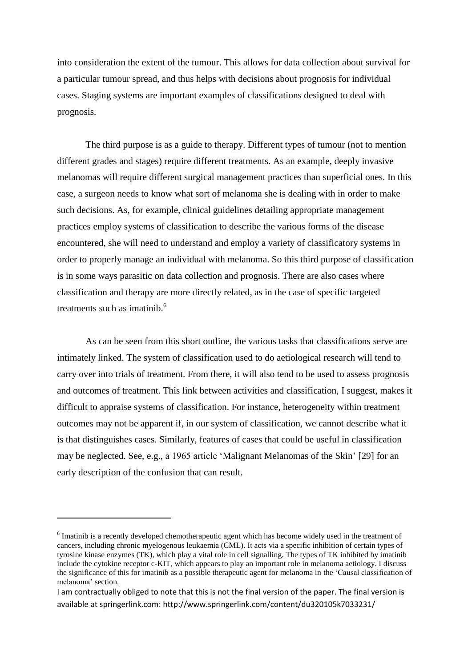into consideration the extent of the tumour. This allows for data collection about survival for a particular tumour spread, and thus helps with decisions about prognosis for individual cases. Staging systems are important examples of classifications designed to deal with prognosis.

The third purpose is as a guide to therapy. Different types of tumour (not to mention different grades and stages) require different treatments. As an example, deeply invasive melanomas will require different surgical management practices than superficial ones. In this case, a surgeon needs to know what sort of melanoma she is dealing with in order to make such decisions. As, for example, clinical guidelines detailing appropriate management practices employ systems of classification to describe the various forms of the disease encountered, she will need to understand and employ a variety of classificatory systems in order to properly manage an individual with melanoma. So this third purpose of classification is in some ways parasitic on data collection and prognosis. There are also cases where classification and therapy are more directly related, as in the case of specific targeted treatments such as imatinib.<sup>6</sup>

As can be seen from this short outline, the various tasks that classifications serve are intimately linked. The system of classification used to do aetiological research will tend to carry over into trials of treatment. From there, it will also tend to be used to assess prognosis and outcomes of treatment. This link between activities and classification, I suggest, makes it difficult to appraise systems of classification. For instance, heterogeneity within treatment outcomes may not be apparent if, in our system of classification, we cannot describe what it is that distinguishes cases. Similarly, features of cases that could be useful in classification may be neglected. See, e.g., a 1965 article 'Malignant Melanomas of the Skin' [29] for an early description of the confusion that can result.

1

<sup>&</sup>lt;sup>6</sup> Imatinib is a recently developed chemotherapeutic agent which has become widely used in the treatment of cancers, including chronic myelogenous leukaemia (CML). It acts via a specific inhibition of certain types of tyrosine kinase enzymes (TK), which play a vital role in cell signalling. The types of TK inhibited by imatinib include the cytokine receptor c-KIT, which appears to play an important role in melanoma aetiology. I discuss the significance of this for imatinib as a possible therapeutic agent for melanoma in the 'Causal classification of melanoma' section.

I am contractually obliged to note that this is not the final version of the paper. The final version is available at springerlink.com: http://www.springerlink.com/content/du320105k7033231/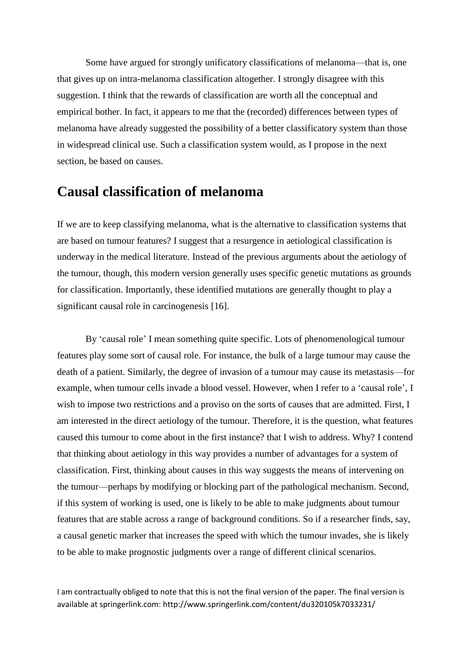Some have argued for strongly unificatory classifications of melanoma—that is, one that gives up on intra-melanoma classification altogether. I strongly disagree with this suggestion. I think that the rewards of classification are worth all the conceptual and empirical bother. In fact, it appears to me that the (recorded) differences between types of melanoma have already suggested the possibility of a better classificatory system than those in widespread clinical use. Such a classification system would, as I propose in the next section, be based on causes.

### **Causal classification of melanoma**

If we are to keep classifying melanoma, what is the alternative to classification systems that are based on tumour features? I suggest that a resurgence in aetiological classification is underway in the medical literature. Instead of the previous arguments about the aetiology of the tumour, though, this modern version generally uses specific genetic mutations as grounds for classification. Importantly, these identified mutations are generally thought to play a significant causal role in carcinogenesis [16].

By 'causal role' I mean something quite specific. Lots of phenomenological tumour features play some sort of causal role. For instance, the bulk of a large tumour may cause the death of a patient. Similarly, the degree of invasion of a tumour may cause its metastasis—for example, when tumour cells invade a blood vessel. However, when I refer to a 'causal role', I wish to impose two restrictions and a proviso on the sorts of causes that are admitted. First, I am interested in the direct aetiology of the tumour. Therefore, it is the question, what features caused this tumour to come about in the first instance? that I wish to address. Why? I contend that thinking about aetiology in this way provides a number of advantages for a system of classification. First, thinking about causes in this way suggests the means of intervening on the tumour—perhaps by modifying or blocking part of the pathological mechanism. Second, if this system of working is used, one is likely to be able to make judgments about tumour features that are stable across a range of background conditions. So if a researcher finds, say, a causal genetic marker that increases the speed with which the tumour invades, she is likely to be able to make prognostic judgments over a range of different clinical scenarios.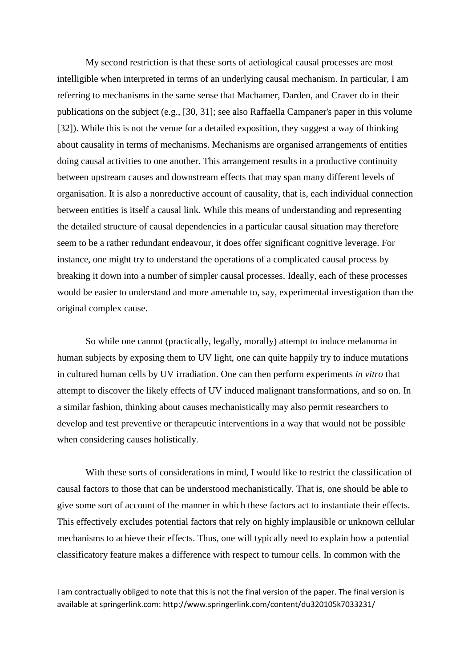My second restriction is that these sorts of aetiological causal processes are most intelligible when interpreted in terms of an underlying causal mechanism. In particular, I am referring to mechanisms in the same sense that Machamer, Darden, and Craver do in their publications on the subject (e.g., [30, 31]; see also Raffaella Campaner's paper in this volume [32]). While this is not the venue for a detailed exposition, they suggest a way of thinking about causality in terms of mechanisms. Mechanisms are organised arrangements of entities doing causal activities to one another. This arrangement results in a productive continuity between upstream causes and downstream effects that may span many different levels of organisation. It is also a nonreductive account of causality, that is, each individual connection between entities is itself a causal link. While this means of understanding and representing the detailed structure of causal dependencies in a particular causal situation may therefore seem to be a rather redundant endeavour, it does offer significant cognitive leverage. For instance, one might try to understand the operations of a complicated causal process by breaking it down into a number of simpler causal processes. Ideally, each of these processes would be easier to understand and more amenable to, say, experimental investigation than the original complex cause.

So while one cannot (practically, legally, morally) attempt to induce melanoma in human subjects by exposing them to UV light, one can quite happily try to induce mutations in cultured human cells by UV irradiation. One can then perform experiments *in vitro* that attempt to discover the likely effects of UV induced malignant transformations, and so on. In a similar fashion, thinking about causes mechanistically may also permit researchers to develop and test preventive or therapeutic interventions in a way that would not be possible when considering causes holistically.

With these sorts of considerations in mind, I would like to restrict the classification of causal factors to those that can be understood mechanistically. That is, one should be able to give some sort of account of the manner in which these factors act to instantiate their effects. This effectively excludes potential factors that rely on highly implausible or unknown cellular mechanisms to achieve their effects. Thus, one will typically need to explain how a potential classificatory feature makes a difference with respect to tumour cells. In common with the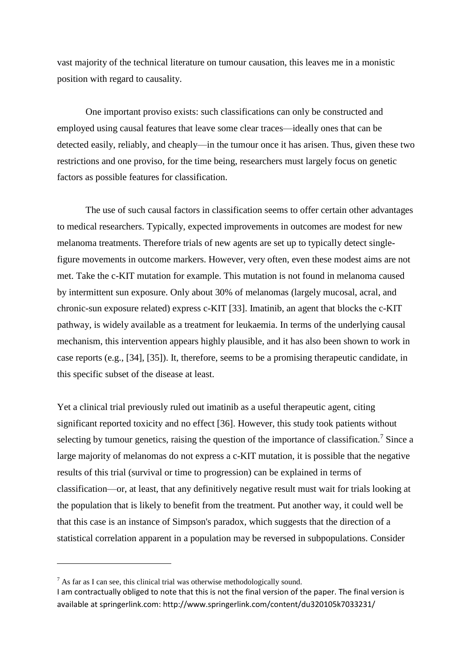vast majority of the technical literature on tumour causation, this leaves me in a monistic position with regard to causality.

One important proviso exists: such classifications can only be constructed and employed using causal features that leave some clear traces—ideally ones that can be detected easily, reliably, and cheaply—in the tumour once it has arisen. Thus, given these two restrictions and one proviso, for the time being, researchers must largely focus on genetic factors as possible features for classification.

The use of such causal factors in classification seems to offer certain other advantages to medical researchers. Typically, expected improvements in outcomes are modest for new melanoma treatments. Therefore trials of new agents are set up to typically detect singlefigure movements in outcome markers. However, very often, even these modest aims are not met. Take the c-KIT mutation for example. This mutation is not found in melanoma caused by intermittent sun exposure. Only about 30% of melanomas (largely mucosal, acral, and chronic-sun exposure related) express c-KIT [33]. Imatinib, an agent that blocks the c-KIT pathway, is widely available as a treatment for leukaemia. In terms of the underlying causal mechanism, this intervention appears highly plausible, and it has also been shown to work in case reports (e.g., [34], [35]). It, therefore, seems to be a promising therapeutic candidate, in this specific subset of the disease at least.

Yet a clinical trial previously ruled out imatinib as a useful therapeutic agent, citing significant reported toxicity and no effect [36]. However, this study took patients without selecting by tumour genetics, raising the question of the importance of classification.<sup>7</sup> Since a large majority of melanomas do not express a c-KIT mutation, it is possible that the negative results of this trial (survival or time to progression) can be explained in terms of classification—or, at least, that any definitively negative result must wait for trials looking at the population that is likely to benefit from the treatment. Put another way, it could well be that this case is an instance of Simpson's paradox, which suggests that the direction of a statistical correlation apparent in a population may be reversed in subpopulations. Consider

I am contractually obliged to note that this is not the final version of the paper. The final version is available at springerlink.com: http://www.springerlink.com/content/du320105k7033231/  $<sup>7</sup>$  As far as I can see, this clinical trial was otherwise methodologically sound.</sup>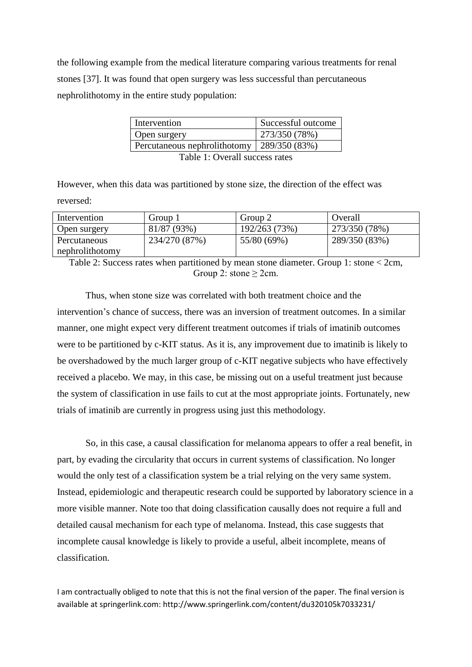the following example from the medical literature comparing various treatments for renal stones [37]. It was found that open surgery was less successful than percutaneous nephrolithotomy in the entire study population:

| Intervention                                 | Successful outcome |
|----------------------------------------------|--------------------|
| Open surgery                                 | 273/350(78%)       |
| Percutaneous nephrolithotomy   289/350 (83%) |                    |
|                                              |                    |

Table 1: Overall success rates

However, when this data was partitioned by stone size, the direction of the effect was reversed:

| Intervention    | Group 1       | Group 2       | Overall       |
|-----------------|---------------|---------------|---------------|
| Open surgery    | 81/87 (93%)   | 192/263 (73%) | 273/350 (78%) |
| Percutaneous    | 234/270 (87%) | 55/80 (69%)   | 289/350 (83%) |
| nephrolithotomy |               |               |               |

Table 2: Success rates when partitioned by mean stone diameter. Group 1: stone < 2cm, Group 2: stone  $\geq$  2cm.

Thus, when stone size was correlated with both treatment choice and the intervention's chance of success, there was an inversion of treatment outcomes. In a similar manner, one might expect very different treatment outcomes if trials of imatinib outcomes were to be partitioned by c-KIT status. As it is, any improvement due to imatinib is likely to be overshadowed by the much larger group of c-KIT negative subjects who have effectively received a placebo. We may, in this case, be missing out on a useful treatment just because the system of classification in use fails to cut at the most appropriate joints. Fortunately, new trials of imatinib are currently in progress using just this methodology.

So, in this case, a causal classification for melanoma appears to offer a real benefit, in part, by evading the circularity that occurs in current systems of classification. No longer would the only test of a classification system be a trial relying on the very same system. Instead, epidemiologic and therapeutic research could be supported by laboratory science in a more visible manner. Note too that doing classification causally does not require a full and detailed causal mechanism for each type of melanoma. Instead, this case suggests that incomplete causal knowledge is likely to provide a useful, albeit incomplete, means of classification.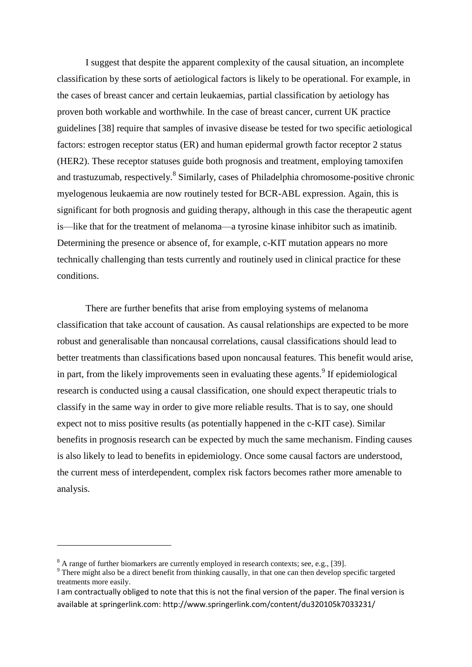I suggest that despite the apparent complexity of the causal situation, an incomplete classification by these sorts of aetiological factors is likely to be operational. For example, in the cases of breast cancer and certain leukaemias, partial classification by aetiology has proven both workable and worthwhile. In the case of breast cancer, current UK practice guidelines [38] require that samples of invasive disease be tested for two specific aetiological factors: estrogen receptor status (ER) and human epidermal growth factor receptor 2 status (HER2). These receptor statuses guide both prognosis and treatment, employing tamoxifen and trastuzumab, respectively.<sup>8</sup> Similarly, cases of Philadelphia chromosome-positive chronic myelogenous leukaemia are now routinely tested for BCR-ABL expression. Again, this is significant for both prognosis and guiding therapy, although in this case the therapeutic agent is—like that for the treatment of melanoma—a tyrosine kinase inhibitor such as imatinib. Determining the presence or absence of, for example, c-KIT mutation appears no more technically challenging than tests currently and routinely used in clinical practice for these conditions.

There are further benefits that arise from employing systems of melanoma classification that take account of causation. As causal relationships are expected to be more robust and generalisable than noncausal correlations, causal classifications should lead to better treatments than classifications based upon noncausal features. This benefit would arise, in part, from the likely improvements seen in evaluating these agents.<sup>9</sup> If epidemiological research is conducted using a causal classification, one should expect therapeutic trials to classify in the same way in order to give more reliable results. That is to say, one should expect not to miss positive results (as potentially happened in the c-KIT case). Similar benefits in prognosis research can be expected by much the same mechanism. Finding causes is also likely to lead to benefits in epidemiology. Once some causal factors are understood, the current mess of interdependent, complex risk factors becomes rather more amenable to analysis.

<sup>&</sup>lt;sup>8</sup> A range of further biomarkers are currently employed in research contexts; see, e.g., [39].

<sup>&</sup>lt;sup>9</sup> There might also be a direct benefit from thinking causally, in that one can then develop specific targeted treatments more easily.

I am contractually obliged to note that this is not the final version of the paper. The final version is available at springerlink.com: http://www.springerlink.com/content/du320105k7033231/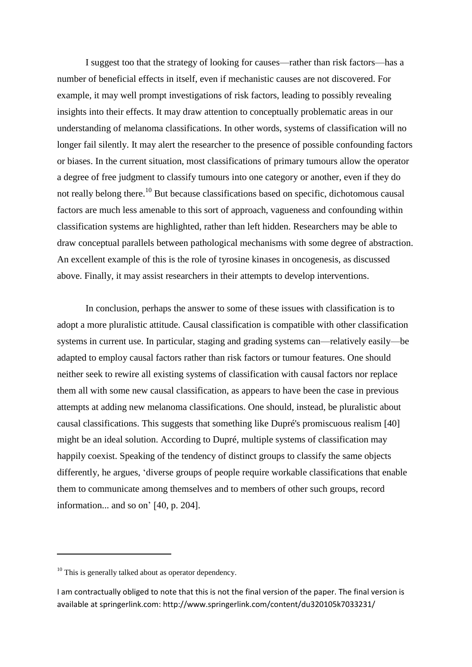I suggest too that the strategy of looking for causes—rather than risk factors—has a number of beneficial effects in itself, even if mechanistic causes are not discovered. For example, it may well prompt investigations of risk factors, leading to possibly revealing insights into their effects. It may draw attention to conceptually problematic areas in our understanding of melanoma classifications. In other words, systems of classification will no longer fail silently. It may alert the researcher to the presence of possible confounding factors or biases. In the current situation, most classifications of primary tumours allow the operator a degree of free judgment to classify tumours into one category or another, even if they do not really belong there.<sup>10</sup> But because classifications based on specific, dichotomous causal factors are much less amenable to this sort of approach, vagueness and confounding within classification systems are highlighted, rather than left hidden. Researchers may be able to draw conceptual parallels between pathological mechanisms with some degree of abstraction. An excellent example of this is the role of tyrosine kinases in oncogenesis, as discussed above. Finally, it may assist researchers in their attempts to develop interventions.

In conclusion, perhaps the answer to some of these issues with classification is to adopt a more pluralistic attitude. Causal classification is compatible with other classification systems in current use. In particular, staging and grading systems can—relatively easily—be adapted to employ causal factors rather than risk factors or tumour features. One should neither seek to rewire all existing systems of classification with causal factors nor replace them all with some new causal classification, as appears to have been the case in previous attempts at adding new melanoma classifications. One should, instead, be pluralistic about causal classifications. This suggests that something like Dupré's promiscuous realism [40] might be an ideal solution. According to Dupré, multiple systems of classification may happily coexist. Speaking of the tendency of distinct groups to classify the same objects differently, he argues, 'diverse groups of people require workable classifications that enable them to communicate among themselves and to members of other such groups, record information... and so on' [40, p. 204].

 $10$  This is generally talked about as operator dependency.

I am contractually obliged to note that this is not the final version of the paper. The final version is available at springerlink.com: http://www.springerlink.com/content/du320105k7033231/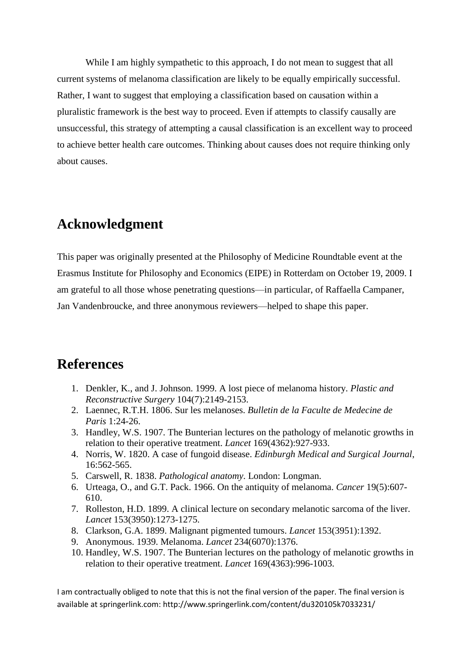While I am highly sympathetic to this approach, I do not mean to suggest that all current systems of melanoma classification are likely to be equally empirically successful. Rather, I want to suggest that employing a classification based on causation within a pluralistic framework is the best way to proceed. Even if attempts to classify causally are unsuccessful, this strategy of attempting a causal classification is an excellent way to proceed to achieve better health care outcomes. Thinking about causes does not require thinking only about causes.

# **Acknowledgment**

This paper was originally presented at the Philosophy of Medicine Roundtable event at the Erasmus Institute for Philosophy and Economics (EIPE) in Rotterdam on October 19, 2009. I am grateful to all those whose penetrating questions—in particular, of Raffaella Campaner, Jan Vandenbroucke, and three anonymous reviewers—helped to shape this paper.

## **References**

- 1. Denkler, K., and J. Johnson. 1999. A lost piece of melanoma history. *Plastic and Reconstructive Surgery* 104(7):2149-2153.
- 2. Laennec, R.T.H. 1806. Sur les melanoses. *Bulletin de la Faculte de Medecine de Paris* 1:24-26.
- 3. Handley, W.S. 1907. The Bunterian lectures on the pathology of melanotic growths in relation to their operative treatment. *Lancet* 169(4362):927-933.
- 4. Norris, W. 1820. A case of fungoid disease. *Edinburgh Medical and Surgical Journal*, 16:562-565.
- 5. Carswell, R. 1838. *Pathological anatomy*. London: Longman.
- 6. Urteaga, O., and G.T. Pack. 1966. On the antiquity of melanoma. *Cancer* 19(5):607- 610.
- 7. Rolleston, H.D. 1899. A clinical lecture on secondary melanotic sarcoma of the liver. *Lancet* 153(3950):1273-1275.
- 8. Clarkson, G.A. 1899. Malignant pigmented tumours. *Lancet* 153(3951):1392.
- 9. Anonymous. 1939. Melanoma. *Lancet* 234(6070):1376.
- 10. Handley, W.S. 1907. The Bunterian lectures on the pathology of melanotic growths in relation to their operative treatment. *Lancet* 169(4363):996-1003.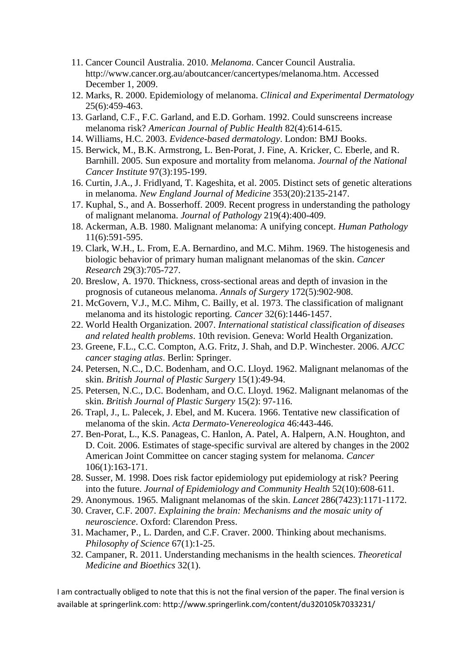- 11. Cancer Council Australia. 2010. *Melanoma*. Cancer Council Australia. http://www.cancer.org.au/aboutcancer/cancertypes/melanoma.htm. Accessed December 1, 2009.
- 12. Marks, R. 2000. Epidemiology of melanoma. *Clinical and Experimental Dermatology* 25(6):459-463.
- 13. Garland, C.F., F.C. Garland, and E.D. Gorham. 1992. Could sunscreens increase melanoma risk? *American Journal of Public Health* 82(4):614-615.
- 14. Williams, H.C. 2003. *Evidence-based dermatology*. London: BMJ Books.
- 15. Berwick, M., B.K. Armstrong, L. Ben-Porat, J. Fine, A. Kricker, C. Eberle, and R. Barnhill. 2005. Sun exposure and mortality from melanoma. *Journal of the National Cancer Institute* 97(3):195-199.
- 16. Curtin, J.A., J. Fridlyand, T. Kageshita, et al. 2005. Distinct sets of genetic alterations in melanoma. *New England Journal of Medicine* 353(20):2135-2147.
- 17. Kuphal, S., and A. Bosserhoff. 2009. Recent progress in understanding the pathology of malignant melanoma. *Journal of Pathology* 219(4):400-409.
- 18. Ackerman, A.B. 1980. Malignant melanoma: A unifying concept. *Human Pathology* 11(6):591-595.
- 19. Clark, W.H., L. From, E.A. Bernardino, and M.C. Mihm. 1969. The histogenesis and biologic behavior of primary human malignant melanomas of the skin. *Cancer Research* 29(3):705-727.
- 20. Breslow, A. 1970. Thickness, cross-sectional areas and depth of invasion in the prognosis of cutaneous melanoma. *Annals of Surgery* 172(5):902-908.
- 21. McGovern, V.J., M.C. Mihm, C. Bailly, et al. 1973. The classification of malignant melanoma and its histologic reporting. *Cancer* 32(6):1446-1457.
- 22. World Health Organization. 2007. *International statistical classification of diseases and related health problems*. 10th revision. Geneva: World Health Organization.
- 23. Greene, F.L., C.C. Compton, A.G. Fritz, J. Shah, and D.P. Winchester. 2006. *AJCC cancer staging atlas*. Berlin: Springer.
- 24. Petersen, N.C., D.C. Bodenham, and O.C. Lloyd. 1962. Malignant melanomas of the skin. *British Journal of Plastic Surgery* 15(1):49-94.
- 25. Petersen, N.C., D.C. Bodenham, and O.C. Lloyd. 1962. Malignant melanomas of the skin. *British Journal of Plastic Surgery* 15(2): 97-116.
- 26. Trapl, J., L. Palecek, J. Ebel, and M. Kucera. 1966. Tentative new classification of melanoma of the skin. *Acta Dermato-Venereologica* 46:443-446.
- 27. Ben-Porat, L., K.S. Panageas, C. Hanlon, A. Patel, A. Halpern, A.N. Houghton, and D. Coit. 2006. Estimates of stage-specific survival are altered by changes in the 2002 American Joint Committee on cancer staging system for melanoma. *Cancer* 106(1):163-171.
- 28. Susser, M. 1998. Does risk factor epidemiology put epidemiology at risk? Peering into the future. *Journal of Epidemiology and Community Health* 52(10):608-611.
- 29. Anonymous. 1965. Malignant melanomas of the skin. *Lancet* 286(7423):1171-1172.
- 30. Craver, C.F. 2007. *Explaining the brain: Mechanisms and the mosaic unity of neuroscience*. Oxford: Clarendon Press.
- 31. Machamer, P., L. Darden, and C.F. Craver. 2000. Thinking about mechanisms. *Philosophy of Science* 67(1):1-25.
- 32. Campaner, R. 2011. Understanding mechanisms in the health sciences. *Theoretical Medicine and Bioethics* 32(1).